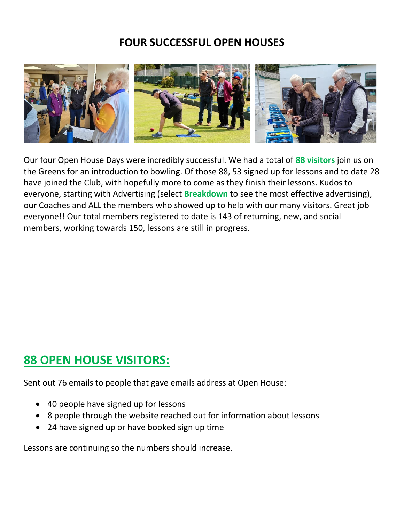## **FOUR SUCCESSFUL OPEN HOUSES**



Our four Open House Days were incredibly successful. We had a total of **88 visitors** join us on the Greens for an introduction to bowling. Of those 88, 53 signed up for lessons and to date 28 have joined the Club, with hopefully more to come as they finish their lessons. Kudos to everyone, starting with Advertising (select **Breakdown** to see the most effective advertising), our Coaches and ALL the members who showed up to help with our many visitors. Great job everyone!! Our total members registered to date is 143 of returning, new, and social members, working towards 150, lessons are still in progress.

## **88 OPEN HOUSE VISITORS:**

Sent out 76 emails to people that gave emails address at Open House:

- 40 people have signed up for lessons
- 8 people through the website reached out for information about lessons
- 24 have signed up or have booked sign up time

Lessons are continuing so the numbers should increase.